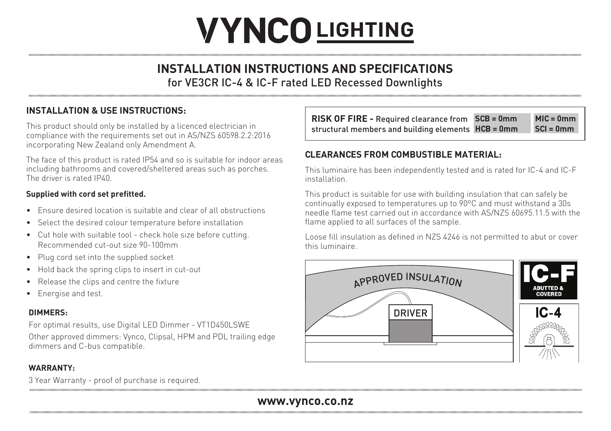# **VYNCO LIGHTING**

## **INSTALLATION INSTRUCTIONS AND SPECIFICATIONS** for VE3CR IC-4 & IC-F rated LED Recessed Downlights

### **INSTALLATION & USE INSTRUCTIONS:**

This product should only be installed by a licenced electrician in compliance with the requirements set out in AS/NZS 60598.2.2:2016 incorporating New Zealand only Amendment A.

The face of this product is rated IP54 and so is suitable for indoor areas including bathrooms and covered/sheltered areas such as porches. The driver is rated IP40.

#### **Supplied with cord set prefitted.**

- Ensure desired location is suitable and clear of all obstructions
- Select the desired colour temperature before installation
- Cut hole with suitable tool check hole size before cutting. Recommended cut-out size 90-100mm
- Plug cord set into the supplied socket
- Hold back the spring clips to insert in cut-out
- Release the clips and centre the fixture
- Energise and test.

#### **DIMMERS:**

For optimal results, use Digital LED Dimmer - VT1D450LSWE

Other approved dimmers: Vynco, Clipsal, HPM and PDL trailing edge dimmers and C-bus compatible.

#### **WARRANTY:**

3 Year Warranty - proof of purchase is required.

| <b>RISK OF FIRE - Required clearance from SCB = 0mm</b> | $MIC = 0mm$ |
|---------------------------------------------------------|-------------|
| structural members and building elements HCB = 0mm      | $SCI = 0mm$ |

#### **CLEARANCES FROM COMBUSTIBLE MATERIAL:**

This luminaire has been independently tested and is rated for IC-4 and IC-F installation.

This product is suitable for use with building insulation that can safely be continually exposed to temperatures up to 90ºC and must withstand a 30s needle flame test carried out in accordance with AS/NZS 60695.11.5 with the flame applied to all surfaces of the sample.

Loose fill insulation as defined in NZS 4246 is not permitted to abut or cover this luminaire.



### **www.vynco.co.nz**